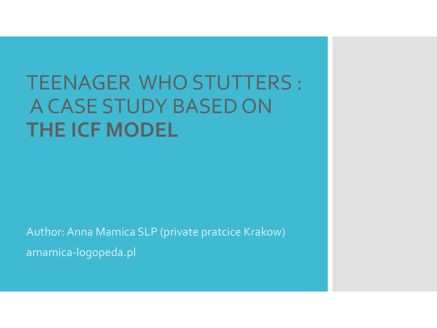# TEENAGER WHO STUTTERS : A CASE STUDY BASED ON **THE ICF MODEL**

Author: Anna Mamica SLP (private pratcice Krakow) amamica-logopeda.pl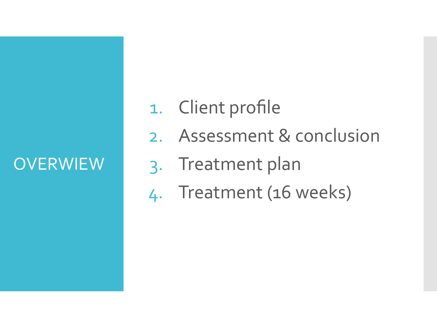# **OVERWIEW**

- 1. Client profile
- 2. Assessment & conclusion
- 3. Treatment plan
- 4. Treatment (16 weeks)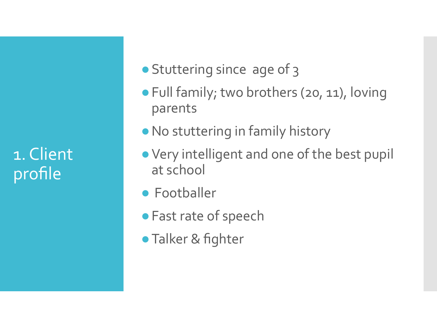1. Client profile

- Stuttering since age of 3
- Full family; two brothers (20, 11), loving parents
- ●No stuttering in family history
- ●Very intelligent and one of the best pupil at school
- Footballer
- ●Fast rate of speech
- Talker & fighter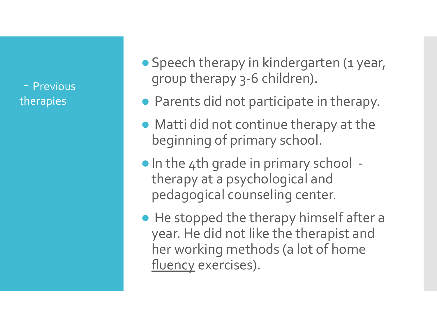- Previous therapies

● Speech therapy in kindergarten (1 year, group therapy 3-6 children).

- Parents did not participate in therapy.
- Matti did not continue therapy at the beginning of primary school.
- ●In the 4th grade in primary school therapy at a psychological and pedagogical counseling center.
- He stopped the therapy himself after a year. He did not like the therapist and her working methods (a lot of home fluency exercises).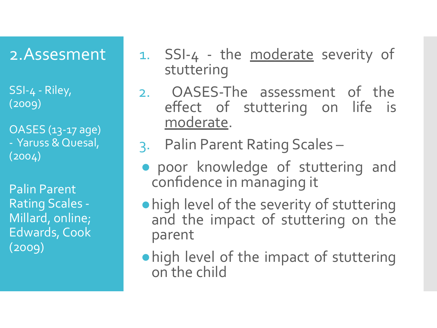# 2.Assesment

SSI-4 - Riley, (2009)

OASES (13-17 age) - Yaruss & Quesal,  $(2004)$ 

Palin Parent Rating Scales - Millard, online; Edwards, Cook (2009)

- 1. SSI-4 the moderate severity of stuttering
- 2. OASES-The assessment of the effect of stuttering on life is moderate.
- 3. Palin Parent Rating Scales –
- poor knowledge of stuttering and confidence in managing it
- ●high level of the severity of stuttering and the impact of stuttering on the parent
- ●high level of the impact of stuttering on the child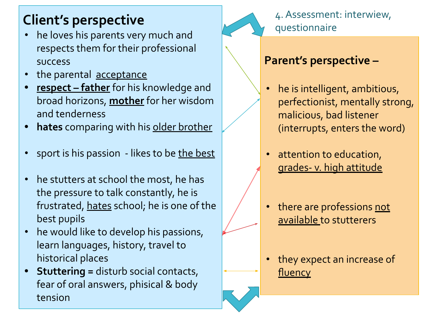# **Client's perspective**

- he loves his parents very much and respects them for their professional success
- the parental acceptance
- **• respect father** for his knowledge and broad horizons, **mother** for her wisdom and tenderness
- **• hates** comparing with his older brother
- sport is his passion likes to be the best
- he stutters at school the most, he has the pressure to talk constantly, he is frustrated, hates school; he is one of the best pupils
- he would like to develop his passions, learn languages, history, travel to historical places
- **• Stuttering =** disturb social contacts, fear of oral answers, phisical & body tension



### 4. Assessment: interwiew, questionnaire

### **Parent's perspective –**

- he is intelligent, ambitious, perfectionist, mentally strong, malicious, bad listener (interrupts, enters the word)
- attention to education, grades- v. high attitude
- there are professions not available to stutterers
- they expect an increase of fluency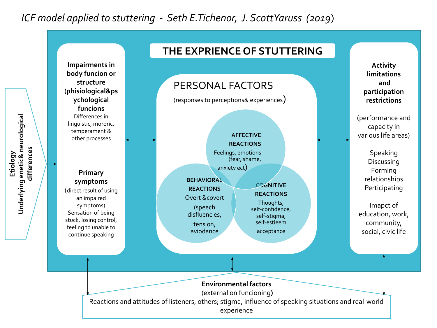### *ICF model applied to stuttering - Seth E.Tichenor, J. ScottYaruss (2019*)

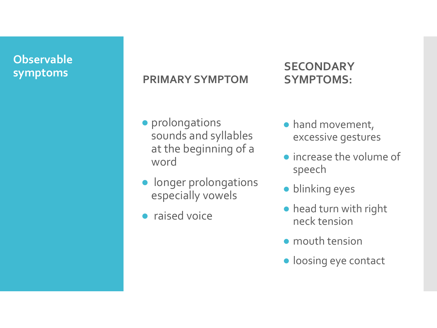# **Observable**

# **symptoms PRIMARY SYMPTOM**

### ● prolongations sounds and syllables at the beginning of a word

- longer prolongations especially vowels
- raised voice

### **SECONDARY SYMPTOMS:**

- hand movement, excessive gestures
- increase the volume of speech
- blinking eyes
- head turn with right neck tension
- mouth tension
- loosing eye contact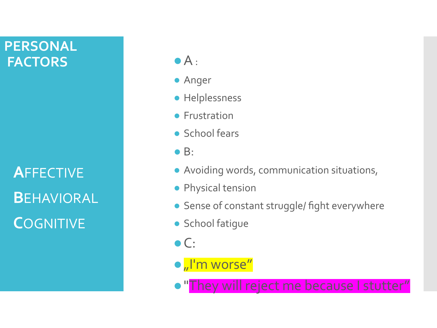### **PERSONAL FACTORS** ● A:

**A**FFECTIVE **B**EHAVIORAL **C**OGNITIVE

- Anger
- Helplessness
- Frustration
- School fears
- $\bullet$  B:
- Avoiding words, communication situations,
- Physical tension
- Sense of constant struggle/ fight everywhere
- School fatique
- $\bullet$  C:
- $\bullet$   $\sqrt{\phantom{a}}$  I'm worse"
- o "They will reject me because I stutter"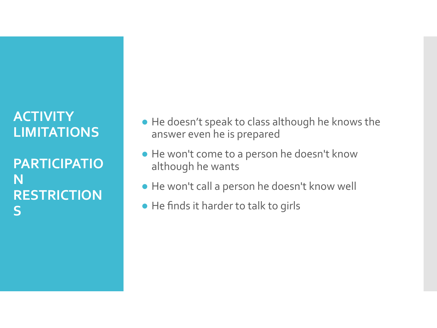### **ACTIVITY LIMITATIONS**

**PARTICIPATIO N RESTRICTION S**

- He doesn't speak to class although he knows the answer even he is prepared
- He won't come to a person he doesn't know although he wants
- He won't call a person he doesn't know well
- He finds it harder to talk to girls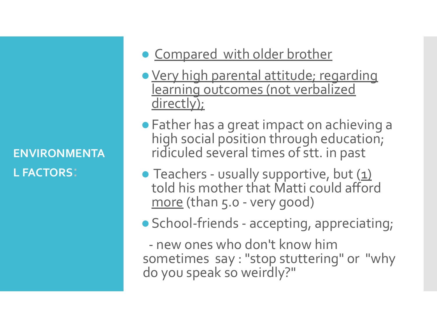### **ENVIRONMENTA L FACTORS**:

# • Compared with older brother

- ●Very high parental attitude; regarding learning outcomes (not verbalized directly);
- ●Father has a great impact on achieving a high social position through education; ridiculed several times of stt. in past
- Teachers usually supportive, but  $(1)$ told his mother that Matti could afford more (than 5.0 - very good)
- School-friends accepting, appreciating;

 - new ones who don't know him sometimes say : "stop stuttering" or "why do you speak so weirdly?"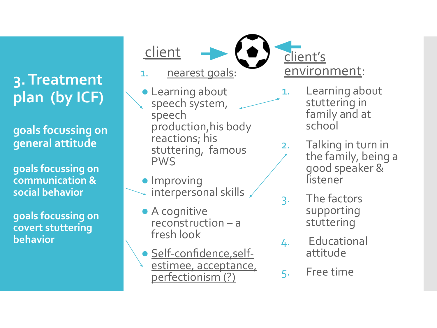# **3. Treatment plan (by ICF)**

**goals focussing on general attitude**

**goals focussing on communication & social behavior**

**goals focussing on covert stuttering behavior** 

client

1. nearest goals:

- **Learning about** speech system, speech production,his body reactions; his stuttering, famous PWS
- Improving interpersonal skills
- A cognitive reconstruction – a fresh look
- Self-confidence,selfestimee, acceptance, perfectionism (?)

client's environment:

- 1. Learning about stuttering in family and at school
- 2. Talking in turn in the family, being a good speaker & listener
- 3. The factors supporting stuttering
- 4. Educational attitude
- 5. Free time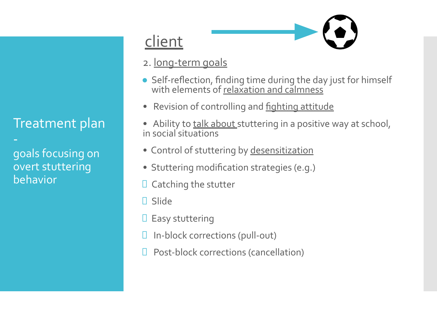### Treatment plan

goals focusing on overt stuttering behavior

## client

- 2. long-term goals
- Self-reflection, finding time during the day just for himself with elements of relaxation and calmness
- Revision of controlling and **fighting attitude**
- Ability to talk about stuttering in a positive way at school, in social situations
- Control of stuttering by desensitization
- Stuttering modification strategies (e.g.)
- $\Box$  Catching the stutter
- □ Slide
- $\Box$  Easy stuttering
- In-block corrections (pull-out)
- Post-block corrections (cancellation)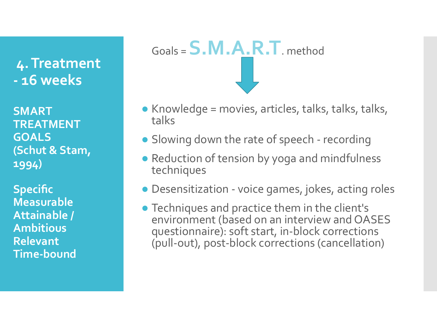**4. Treatment - 16 weeks**

**SMART TREATMENT GOALS (Schut & Stam, 1994)**

**Specific Measurable Attainable / Ambitious Relevant Time-bound**



- $\bullet$  Knowledge = movies, articles, talks, talks, talks, talks
- Slowing down the rate of speech recording
- Reduction of tension by yoga and mindfulness techniques
- Desensitization voice games, jokes, acting roles
- Techniques and practice them in the client's environment (based on an interview and OASES questionnaire): soft start, in-block corrections (pull-out), post-block corrections (cancellation)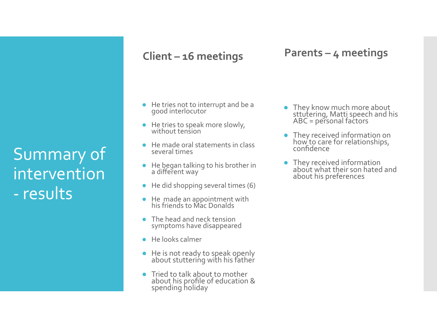Summary of intervention - results

### **Client – 16 meetings**

### **Parents – 4 meetings**

- He tries not to interrupt and be a good interlocutor
- He tries to speak more slowly, without tension
- He made oral statements in class several times
- He began talking to his brother in a different way
- $\bullet$  He did shopping several times (6)
- He made an appointment with his friends to Mac Donalds
- The head and neck tension symptoms have disappeared
- He looks calmer
- He is not ready to speak openly about stutterińg with his father
- Tried to talk about to mother about his profile of education & spending holiday
- They know much more about sttutering, Matti speech and his ABC = personal factors
- They received information on how to care for relationships, confidence
- They received information about what their son hated and about his preferences